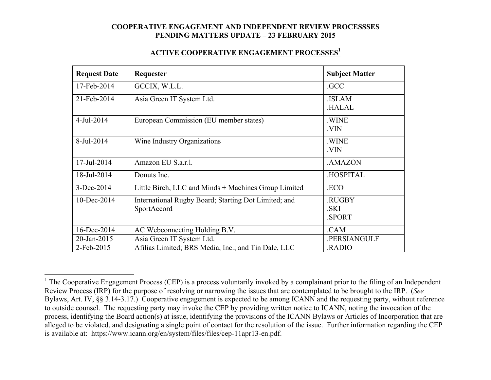### **ACTIVE COOPERATIVE ENGAGEMENT PROCESSES1**

| <b>Request Date</b> | Requester                                                           | <b>Subject Matter</b>          |
|---------------------|---------------------------------------------------------------------|--------------------------------|
| 17-Feb-2014         | GCCIX, W.L.L.                                                       | .GCC                           |
| 21-Feb-2014         | Asia Green IT System Ltd.                                           | <b>ISLAM</b><br><b>HALAL</b>   |
| $4$ -Jul-2014       | European Commission (EU member states)                              | .WINE<br>.VIN                  |
| 8-Jul-2014          | Wine Industry Organizations                                         | .WINE<br>.VIN                  |
| 17-Jul-2014         | Amazon EU S.a.r.l.                                                  | .AMAZON                        |
| 18-Jul-2014         | Donuts Inc.                                                         | .HOSPITAL                      |
| 3-Dec-2014          | Little Birch, LLC and Minds + Machines Group Limited                | .ECO                           |
| 10-Dec-2014         | International Rugby Board; Starting Dot Limited; and<br>SportAccord | <b>RUGBY</b><br>.SKI<br>.SPORT |
| 16-Dec-2014         | AC Webconnecting Holding B.V.                                       | .CAM                           |
| 20-Jan-2015         | Asia Green IT System Ltd.                                           | .PERSIANGULF                   |
| 2-Feb-2015          | Afilias Limited; BRS Media, Inc.; and Tin Dale, LLC                 | <b>RADIO</b>                   |

<sup>&</sup>lt;sup>1</sup> The Cooperative Engagement Process (CEP) is a process voluntarily invoked by a complainant prior to the filing of an Independent Review Process (IRP) for the purpose of resolving or narrowing the issues that are contemplated to be brought to the IRP. (*See* Bylaws, Art. IV, §§ 3.14-3.17.) Cooperative engagement is expected to be among ICANN and the requesting party, without reference to outside counsel. The requesting party may invoke the CEP by providing written notice to ICANN, noting the invocation of the process, identifying the Board action(s) at issue, identifying the provisions of the ICANN Bylaws or Articles of Incorporation that are alleged to be violated, and designating a single point of contact for the resolution of the issue. Further information regarding the CEP is available at: https://www.icann.org/en/system/files/files/cep-11apr13-en.pdf.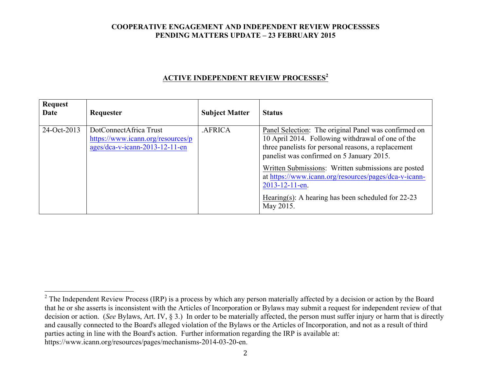# **ACTIVE INDEPENDENT REVIEW PROCESSES<sup>2</sup>**

| <b>Request</b><br>Date | Requester                                                                                       | <b>Subject Matter</b> | <b>Status</b>                                                                                                                                                                                                 |
|------------------------|-------------------------------------------------------------------------------------------------|-----------------------|---------------------------------------------------------------------------------------------------------------------------------------------------------------------------------------------------------------|
| 24-Oct-2013            | DotConnectAfrica Trust<br>https://www.icann.org/resources/p<br>$ages/dea-v-icann-2013-12-11-en$ | .AFRICA               | Panel Selection: The original Panel was confirmed on<br>10 April 2014. Following withdrawal of one of the<br>three panelists for personal reasons, a replacement<br>panelist was confirmed on 5 January 2015. |
|                        |                                                                                                 |                       | Written Submissions: Written submissions are posted<br>at https://www.icann.org/resources/pages/dca-v-icann-<br>2013-12-11-en.<br>Hearing(s): A hearing has been scheduled for $22-23$                        |
|                        |                                                                                                 |                       | May 2015.                                                                                                                                                                                                     |

<sup>&</sup>lt;sup>2</sup> The Independent Review Process (IRP) is a process by which any person materially affected by a decision or action by the Board that he or she asserts is inconsistent with the Articles of Incorporation or Bylaws may submit a request for independent review of that decision or action. (*See* Bylaws, Art. IV, § 3.) In order to be materially affected, the person must suffer injury or harm that is directly and causally connected to the Board's alleged violation of the Bylaws or the Articles of Incorporation, and not as a result of third parties acting in line with the Board's action. Further information regarding the IRP is available at: https://www.icann.org/resources/pages/mechanisms-2014-03-20-en.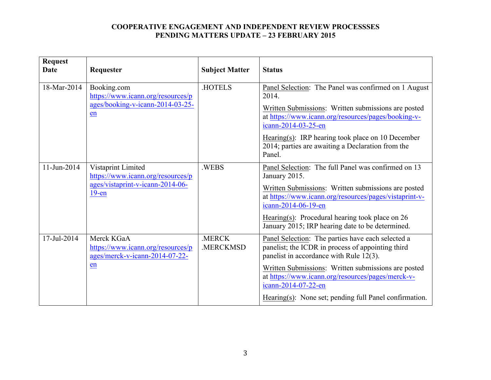| <b>Request</b><br><b>Date</b> | Requester                                                                                               | <b>Subject Matter</b> | <b>Status</b>                                                                                                                                     |
|-------------------------------|---------------------------------------------------------------------------------------------------------|-----------------------|---------------------------------------------------------------------------------------------------------------------------------------------------|
| 18-Mar-2014                   | Booking.com<br>https://www.icann.org/resources/p<br>ages/booking-v-icann-2014-03-25-<br>en              | <b>HOTELS</b>         | Panel Selection: The Panel was confirmed on 1 August<br>2014.                                                                                     |
|                               |                                                                                                         |                       | Written Submissions: Written submissions are posted<br>at https://www.icann.org/resources/pages/booking-v-<br>icann-2014-03-25-en                 |
|                               |                                                                                                         |                       | Hearing(s): IRP hearing took place on 10 December<br>2014; parties are awaiting a Declaration from the<br>Panel.                                  |
| $11$ -Jun-2014                | Vistaprint Limited<br>https://www.icann.org/resources/p<br>ages/vistaprint-v-icann-2014-06-<br>$19$ -en | .WEBS                 | Panel Selection: The full Panel was confirmed on 13<br>January 2015.                                                                              |
|                               |                                                                                                         |                       | Written Submissions: Written submissions are posted<br>at https://www.icann.org/resources/pages/vistaprint-v-<br>icann-2014-06-19-en              |
|                               |                                                                                                         |                       | Hearing(s): Procedural hearing took place on $26$<br>January 2015; IRP hearing date to be determined.                                             |
| 17-Jul-2014                   | Merck KGaA<br>https://www.icann.org/resources/p<br>ages/merck-v-icann-2014-07-22-                       | .MERCK<br>.MERCKMSD   | Panel Selection: The parties have each selected a<br>panelist; the ICDR in process of appointing third<br>panelist in accordance with Rule 12(3). |
|                               | en                                                                                                      |                       | Written Submissions: Written submissions are posted<br>at https://www.icann.org/resources/pages/merck-v-<br>icann-2014-07-22-en                   |
|                               |                                                                                                         |                       | Hearing(s): None set; pending full Panel confirmation.                                                                                            |